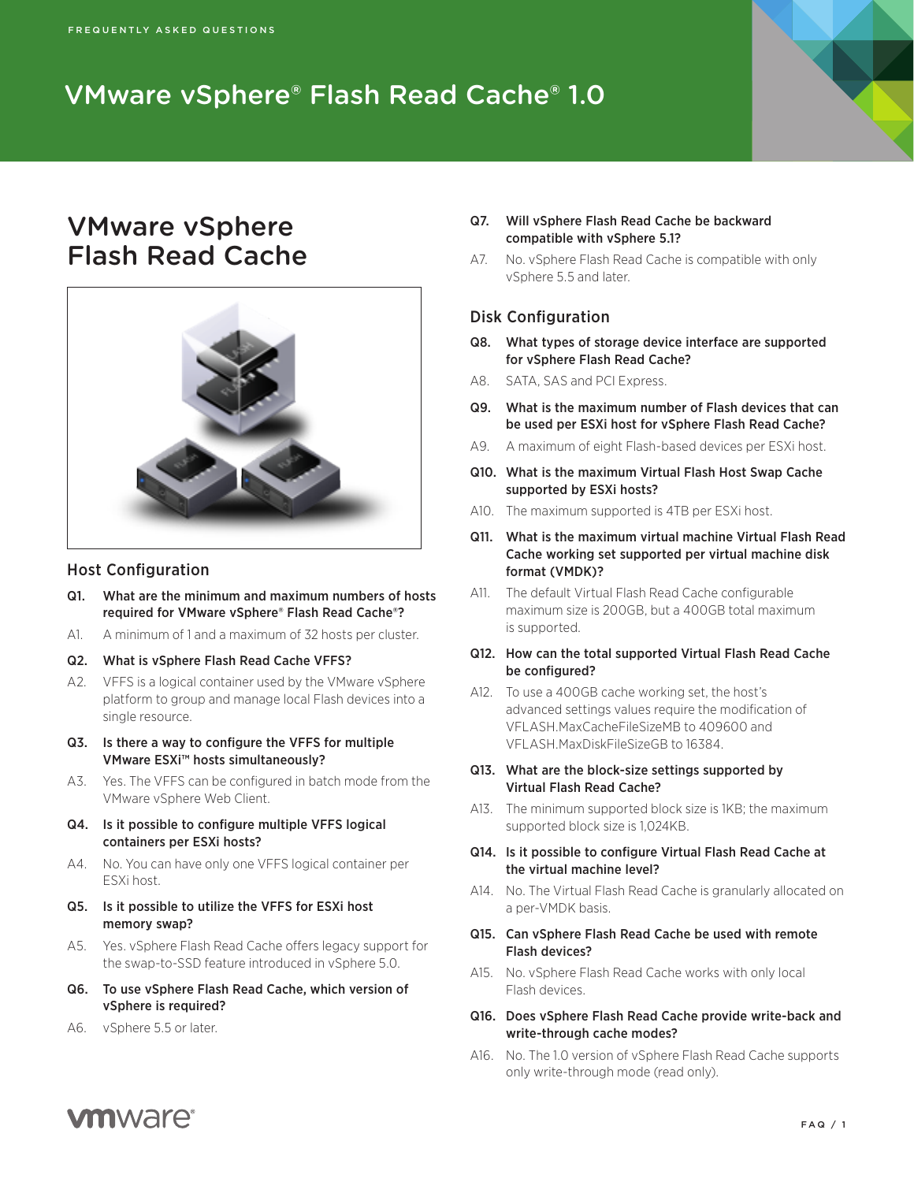# VMware vSphere® Flash Read Cache® 1.0

# VMware vSphere Flash Read Cache



### Host Configuration

- Q1. What are the minimum and maximum numbers of hosts required for VMware vSphere® Flash Read Cache®?
- A1. A minimum of 1 and a maximum of 32 hosts per cluster.
- Q2. What is vSphere Flash Read Cache VFFS?
- A2. VFFS is a logical container used by the VMware vSphere platform to group and manage local Flash devices into a single resource.
- Q3. Is there a way to configure the VFFS for multiple VMware ESXi™ hosts simultaneously?
- A3. Yes. The VFFS can be configured in batch mode from the VMware vSphere Web Client.
- Q4. Is it possible to configure multiple VFFS logical containers per ESXi hosts?
- A4. No. You can have only one VFFS logical container per ESXi host.
- Q5. Is it possible to utilize the VFFS for ESXi host memory swap?
- A5. Yes. vSphere Flash Read Cache offers legacy support for the swap-to-SSD feature introduced in vSphere 5.0.
- Q6. To use vSphere Flash Read Cache, which version of vSphere is required?
- A6. vSphere 5.5 or later.
- Q7. Will vSphere Flash Read Cache be backward compatible with vSphere 5.1?
- A7. No. vSphere Flash Read Cache is compatible with only vSphere 5.5 and later.

## Disk Configuration

- Q8. What types of storage device interface are supported for vSphere Flash Read Cache?
- A8. SATA, SAS and PCI Express.
- Q9. What is the maximum number of Flash devices that can be used per ESXi host for vSphere Flash Read Cache?
- A9. A maximum of eight Flash-based devices per ESXi host.
- Q10. What is the maximum Virtual Flash Host Swap Cache supported by ESXi hosts?
- A10. The maximum supported is 4TB per ESXi host.
- Q11. What is the maximum virtual machine Virtual Flash Read Cache working set supported per virtual machine disk format (VMDK)?
- A11. The default Virtual Flash Read Cache configurable maximum size is 200GB, but a 400GB total maximum is supported.
- Q12. How can the total supported Virtual Flash Read Cache be configured?
- A12. To use a 400GB cache working set, the host's advanced settings values require the modification of VFLASH.MaxCacheFileSizeMB to 409600 and VFLASH.MaxDiskFileSizeGB to 16384.
- Q13. What are the block-size settings supported by Virtual Flash Read Cache?
- A13. The minimum supported block size is 1KB; the maximum supported block size is 1,024KB.
- Q14. Is it possible to configure Virtual Flash Read Cache at the virtual machine level?
- A14. No. The Virtual Flash Read Cache is granularly allocated on a per-VMDK basis.
- Q15. Can vSphere Flash Read Cache be used with remote Flash devices?
- A15. No. vSphere Flash Read Cache works with only local Flash devices.
- Q16. Does vSphere Flash Read Cache provide write-back and write-through cache modes?
- A16. No. The 1.0 version of vSphere Flash Read Cache supports only write-through mode (read only).

# **vm**ware<sup>®</sup>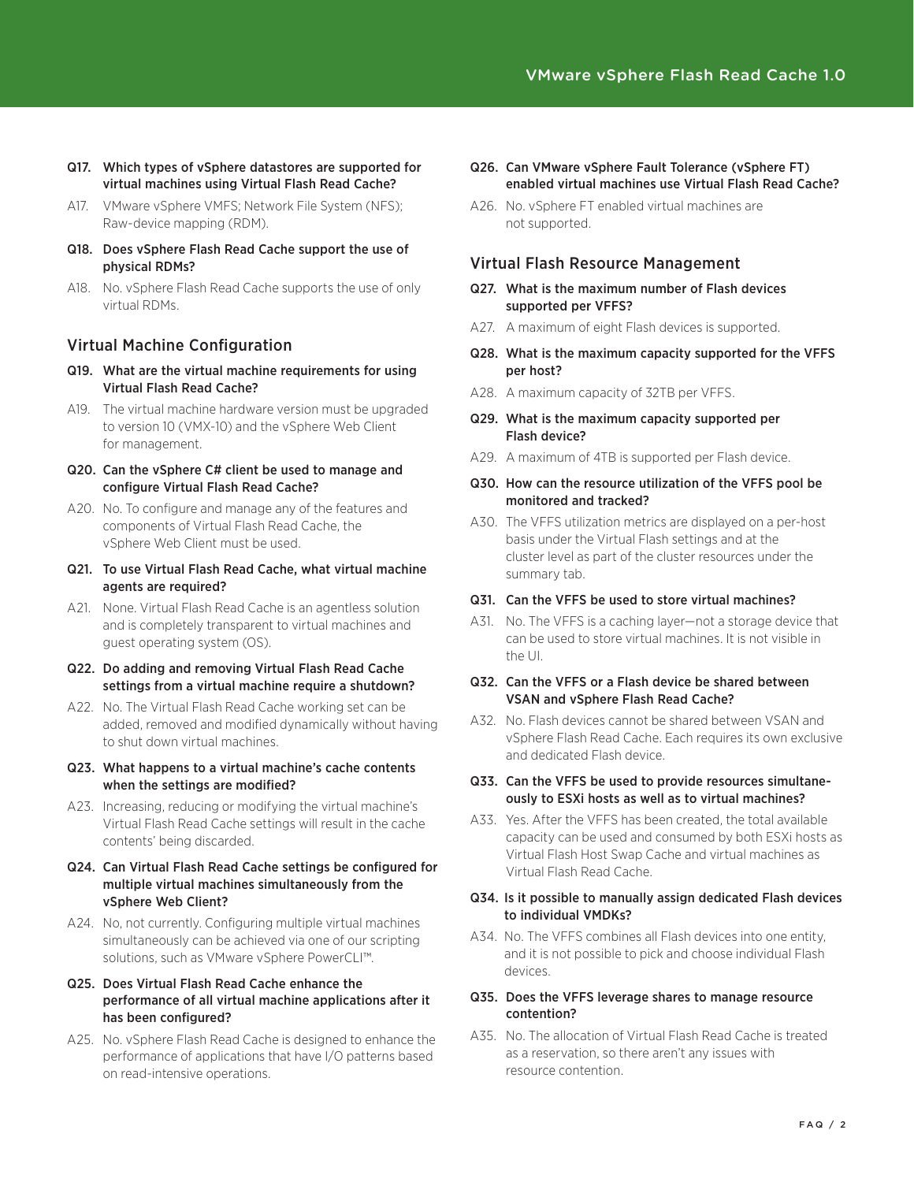- Q17. Which types of vSphere datastores are supported for virtual machines using Virtual Flash Read Cache?
- A17. VMware vSphere VMFS; Network File System (NFS); Raw-device mapping (RDM).
- Q18. Does vSphere Flash Read Cache support the use of physical RDMs?
- A18. No. vSphere Flash Read Cache supports the use of only virtual RDMs.

## Virtual Machine Configuration

- Q19. What are the virtual machine requirements for using Virtual Flash Read Cache?
- A19. The virtual machine hardware version must be upgraded to version 10 (VMX-10) and the vSphere Web Client for management.
- Q20. Can the vSphere C# client be used to manage and configure Virtual Flash Read Cache?
- A20. No. To configure and manage any of the features and components of Virtual Flash Read Cache, the vSphere Web Client must be used.
- Q21. To use Virtual Flash Read Cache, what virtual machine agents are required?
- A21. None. Virtual Flash Read Cache is an agentless solution and is completely transparent to virtual machines and guest operating system (OS).
- Q22. Do adding and removing Virtual Flash Read Cache settings from a virtual machine require a shutdown?
- A22. No. The Virtual Flash Read Cache working set can be added, removed and modified dynamically without having to shut down virtual machines.
- Q23. What happens to a virtual machine's cache contents when the settings are modified?
- A23. Increasing, reducing or modifying the virtual machine's Virtual Flash Read Cache settings will result in the cache contents' being discarded.
- Q24. Can Virtual Flash Read Cache settings be configured for multiple virtual machines simultaneously from the vSphere Web Client?
- A24. No, not currently. Configuring multiple virtual machines simultaneously can be achieved via one of our scripting solutions, such as VMware vSphere PowerCLI™.

#### Q25. Does Virtual Flash Read Cache enhance the performance of all virtual machine applications after it has been configured?

A25. No. vSphere Flash Read Cache is designed to enhance the performance of applications that have I/O patterns based on read-intensive operations.

- Q26. Can VMware vSphere Fault Tolerance (vSphere FT) enabled virtual machines use Virtual Flash Read Cache?
- A26. No. vSphere FT enabled virtual machines are not supported.

## Virtual Flash Resource Management

- Q27. What is the maximum number of Flash devices supported per VFFS?
- A27. A maximum of eight Flash devices is supported.
- Q28. What is the maximum capacity supported for the VFFS per host?
- A28. A maximum capacity of 32TB per VFFS.
- Q29. What is the maximum capacity supported per Flash device?
- A29. A maximum of 4TB is supported per Flash device.

#### Q30. How can the resource utilization of the VFFS pool be monitored and tracked?

A30. The VFFS utilization metrics are displayed on a per-host basis under the Virtual Flash settings and at the cluster level as part of the cluster resources under the summary tab.

## Q31. Can the VFFS be used to store virtual machines?

A31. No. The VFFS is a caching layer—not a storage device that can be used to store virtual machines. It is not visible in the UI.

#### Q32. Can the VFFS or a Flash device be shared between VSAN and vSphere Flash Read Cache?

A32. No. Flash devices cannot be shared between VSAN and vSphere Flash Read Cache. Each requires its own exclusive and dedicated Flash device.

#### Q33. Can the VFFS be used to provide resources simultaneously to ESXi hosts as well as to virtual machines?

A33. Yes. After the VFFS has been created, the total available capacity can be used and consumed by both ESXi hosts as Virtual Flash Host Swap Cache and virtual machines as Virtual Flash Read Cache.

#### Q34. Is it possible to manually assign dedicated Flash devices to individual VMDKs?

A34. No. The VFFS combines all Flash devices into one entity, and it is not possible to pick and choose individual Flash devices.

#### Q35. Does the VFFS leverage shares to manage resource contention?

A35. No. The allocation of Virtual Flash Read Cache is treated as a reservation, so there aren't any issues with resource contention.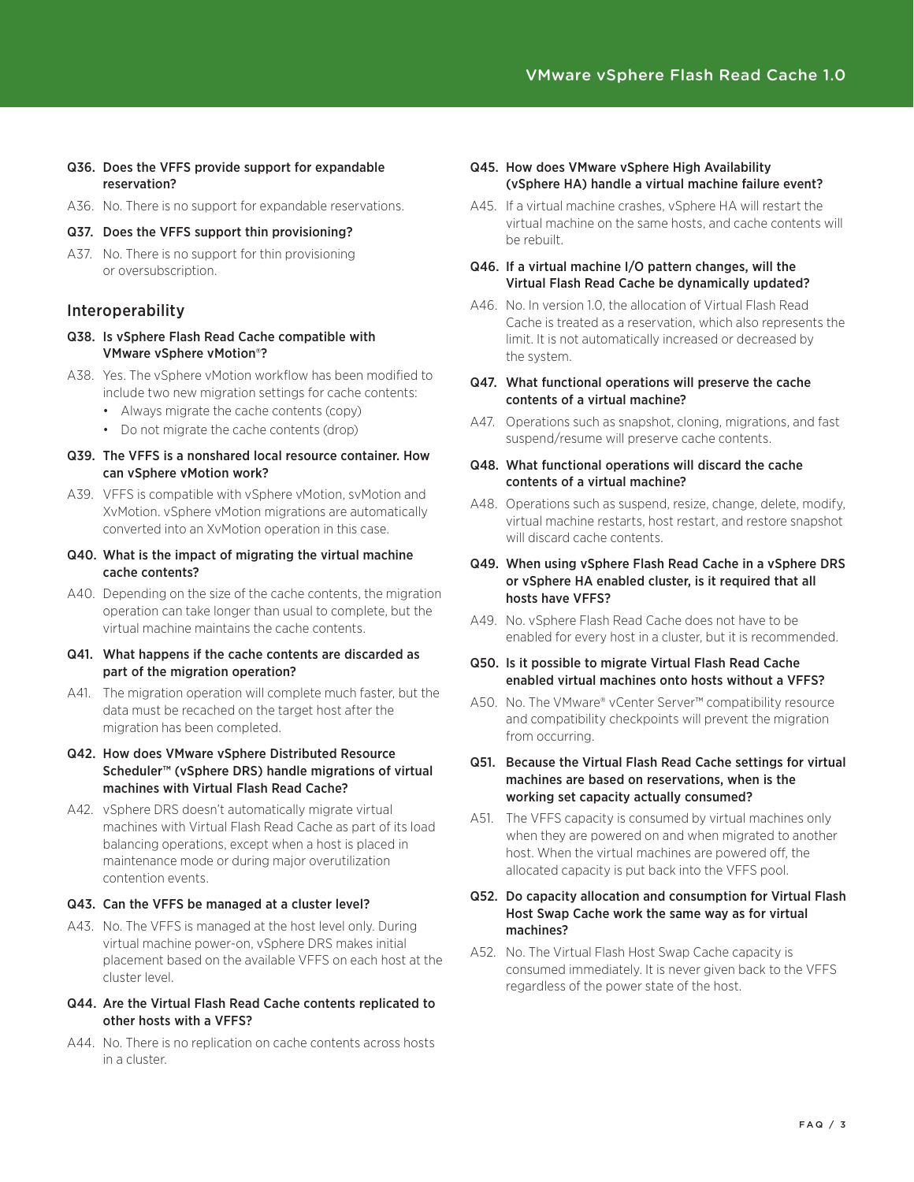- Q36. Does the VFFS provide support for expandable reservation?
- A36. No. There is no support for expandable reservations.
- Q37. Does the VFFS support thin provisioning?
- A37. No. There is no support for thin provisioning or oversubscription.

### Interoperability

- Q38. Is vSphere Flash Read Cache compatible with VMware vSphere vMotion®?
- A38. Yes. The vSphere vMotion workflow has been modified to include two new migration settings for cache contents:
	- • Always migrate the cache contents (copy)
	- • Do not migrate the cache contents (drop)
- Q39. The VFFS is a nonshared local resource container. How can vSphere vMotion work?
- A39. VFFS is compatible with vSphere vMotion, svMotion and XvMotion. vSphere vMotion migrations are automatically converted into an XvMotion operation in this case.
- Q40. What is the impact of migrating the virtual machine cache contents?
- A40. Depending on the size of the cache contents, the migration operation can take longer than usual to complete, but the virtual machine maintains the cache contents.
- Q41. What happens if the cache contents are discarded as part of the migration operation?
- A41. The migration operation will complete much faster, but the data must be recached on the target host after the migration has been completed.

#### Q42. How does VMware vSphere Distributed Resource Scheduler™ (vSphere DRS) handle migrations of virtual machines with Virtual Flash Read Cache?

A42. vSphere DRS doesn't automatically migrate virtual machines with Virtual Flash Read Cache as part of its load balancing operations, except when a host is placed in maintenance mode or during major overutilization contention events.

#### Q43. Can the VFFS be managed at a cluster level?

A43. No. The VFFS is managed at the host level only. During virtual machine power-on, vSphere DRS makes initial placement based on the available VFFS on each host at the cluster level.

#### Q44. Are the Virtual Flash Read Cache contents replicated to other hosts with a VFFS?

A44. No. There is no replication on cache contents across hosts in a cluster.

#### Q45. How does VMware vSphere High Availability (vSphere HA) handle a virtual machine failure event?

- A45. If a virtual machine crashes, vSphere HA will restart the virtual machine on the same hosts, and cache contents will be rebuilt.
- Q46. If a virtual machine I/O pattern changes, will the Virtual Flash Read Cache be dynamically updated?
- A46. No. In version 1.0, the allocation of Virtual Flash Read Cache is treated as a reservation, which also represents the limit. It is not automatically increased or decreased by the system.
- Q47. What functional operations will preserve the cache contents of a virtual machine?
- A47. Operations such as snapshot, cloning, migrations, and fast suspend/resume will preserve cache contents.
- Q48. What functional operations will discard the cache contents of a virtual machine?
- A48. Operations such as suspend, resize, change, delete, modify, virtual machine restarts, host restart, and restore snapshot will discard cache contents.
- Q49. When using vSphere Flash Read Cache in a vSphere DRS or vSphere HA enabled cluster, is it required that all hosts have VFFS?
- A49. No. vSphere Flash Read Cache does not have to be enabled for every host in a cluster, but it is recommended.
- Q50. Is it possible to migrate Virtual Flash Read Cache enabled virtual machines onto hosts without a VFFS?
- A50. No. The VMware® vCenter Server™ compatibility resource and compatibility checkpoints will prevent the migration from occurring.
- Q51. Because the Virtual Flash Read Cache settings for virtual machines are based on reservations, when is the working set capacity actually consumed?
- A51. The VFFS capacity is consumed by virtual machines only when they are powered on and when migrated to another host. When the virtual machines are powered off, the allocated capacity is put back into the VFFS pool.
- Q52. Do capacity allocation and consumption for Virtual Flash Host Swap Cache work the same way as for virtual machines?
- A52. No. The Virtual Flash Host Swap Cache capacity is consumed immediately. It is never given back to the VFFS regardless of the power state of the host.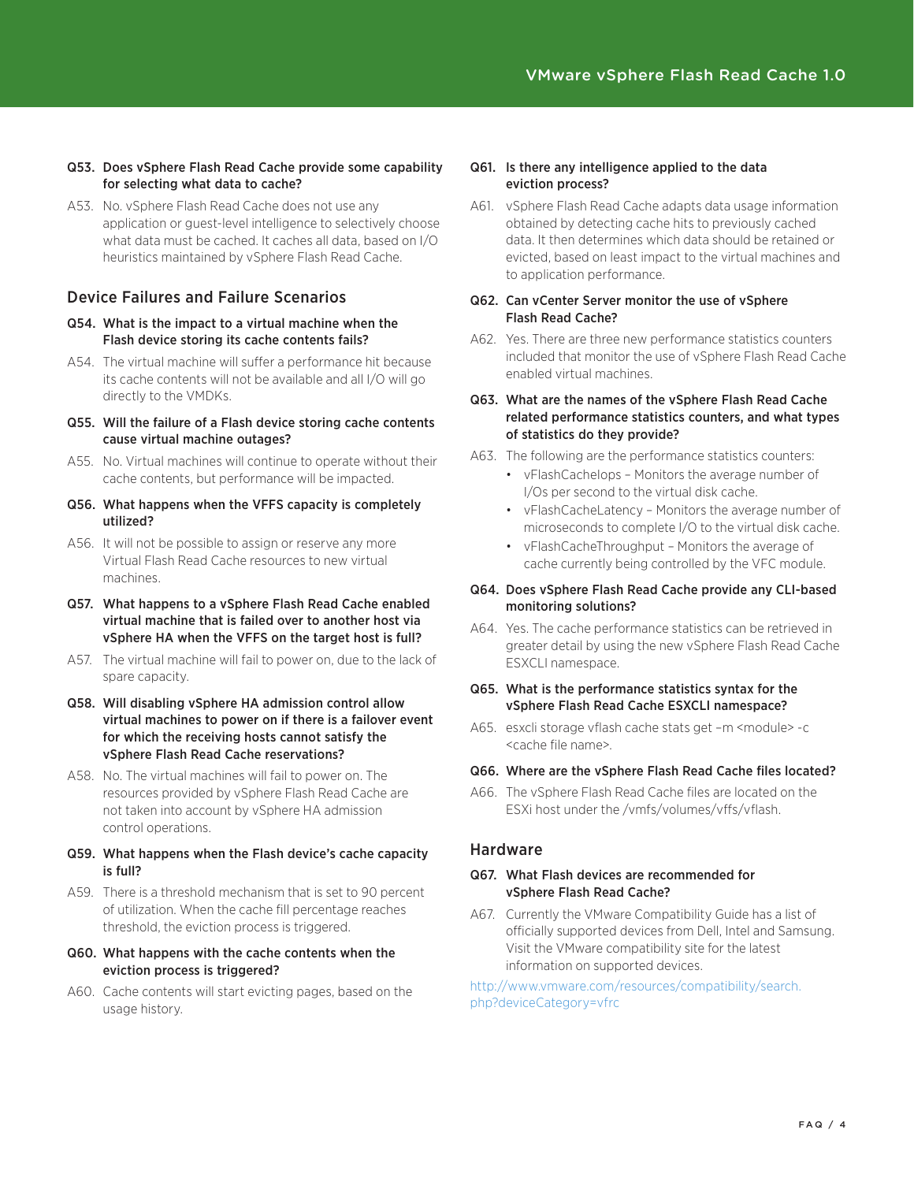- Q53. Does vSphere Flash Read Cache provide some capability for selecting what data to cache?
- A53. No. vSphere Flash Read Cache does not use any application or guest-level intelligence to selectively choose what data must be cached. It caches all data, based on I/O heuristics maintained by vSphere Flash Read Cache.

## Device Failures and Failure Scenarios

- Q54. What is the impact to a virtual machine when the Flash device storing its cache contents fails?
- A54. The virtual machine will suffer a performance hit because its cache contents will not be available and all I/O will go directly to the VMDKs.
- Q55. Will the failure of a Flash device storing cache contents cause virtual machine outages?
- A55. No. Virtual machines will continue to operate without their cache contents, but performance will be impacted.
- Q56. What happens when the VFFS capacity is completely utilized?
- A56. It will not be possible to assign or reserve any more Virtual Flash Read Cache resources to new virtual machines.
- Q57. What happens to a vSphere Flash Read Cache enabled virtual machine that is failed over to another host via vSphere HA when the VFFS on the target host is full?
- A57. The virtual machine will fail to power on, due to the lack of spare capacity.
- Q58. Will disabling vSphere HA admission control allow virtual machines to power on if there is a failover event for which the receiving hosts cannot satisfy the vSphere Flash Read Cache reservations?
- A58. No. The virtual machines will fail to power on. The resources provided by vSphere Flash Read Cache are not taken into account by vSphere HA admission control operations.
- Q59. What happens when the Flash device's cache capacity is full?
- A59. There is a threshold mechanism that is set to 90 percent of utilization. When the cache fill percentage reaches threshold, the eviction process is triggered.

#### Q60. What happens with the cache contents when the eviction process is triggered?

A60. Cache contents will start evicting pages, based on the usage history.

### Q61. Is there any intelligence applied to the data eviction process?

A61. vSphere Flash Read Cache adapts data usage information obtained by detecting cache hits to previously cached data. It then determines which data should be retained or evicted, based on least impact to the virtual machines and to application performance.

#### Q62. Can vCenter Server monitor the use of vSphere Flash Read Cache?

A62. Yes. There are three new performance statistics counters included that monitor the use of vSphere Flash Read Cache enabled virtual machines.

#### Q63. What are the names of the vSphere Flash Read Cache related performance statistics counters, and what types of statistics do they provide?

- A63. The following are the performance statistics counters:
	- • vFlashCacheIops Monitors the average number of I/Os per second to the virtual disk cache.
	- • vFlashCacheLatency Monitors the average number of microseconds to complete I/O to the virtual disk cache.
	- • vFlashCacheThroughput Monitors the average of cache currently being controlled by the VFC module.

#### Q64. Does vSphere Flash Read Cache provide any CLI-based monitoring solutions?

A64. Yes. The cache performance statistics can be retrieved in greater detail by using the new vSphere Flash Read Cache ESXCLI namespace.

### Q65. What is the performance statistics syntax for the vSphere Flash Read Cache ESXCLI namespace?

A65. esxcli storage vflash cache stats get -m <module> -c <cache file name>.

## Q66. Where are the vSphere Flash Read Cache files located?

A66. The vSphere Flash Read Cache files are located on the ESXi host under the /vmfs/volumes/vffs/vflash.

## Hardware

## Q67. What Flash devices are recommended for vSphere Flash Read Cache?

A67. Currently the VMware Compatibility Guide has a list of officially supported devices from Dell, Intel and Samsung. Visit the VMware compatibility site for the latest information on supported devices.

http://www.vmware.com/resources/compatibility/search. php?deviceCategory=vfrc